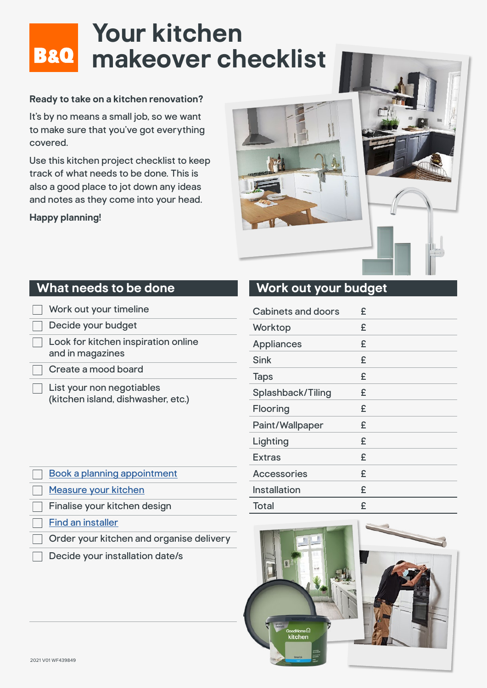## **Your kitchen B&O** makeover checklist

#### **Ready to take on a kitchen renovation?**

It's by no means a small job, so we want to make sure that you've got everything covered.

Use this kitchen project checklist to keep track of what needs to be done. This is also a good place to jot down any ideas and notes as they come into your head.

**Happy planning!**



#### **What needs to be done**

| Work out your timeline                                          |
|-----------------------------------------------------------------|
| Decide your budget                                              |
| Look for kitchen inspiration online<br>and in magazines         |
| Create a mood board                                             |
| List your non negotiables<br>(kitchen island, dishwasher, etc.) |

|--|

| <b>Cabinets and doors</b> | £ |
|---------------------------|---|
| Worktop                   | £ |
| <b>Appliances</b>         | £ |
| Sink                      | £ |
| <b>Taps</b>               | £ |
| Splashback/Tiling         | £ |
| Flooring                  | £ |
| Paint/Wallpaper           | £ |
| Lighting                  | £ |
| <b>Extras</b>             | £ |
| <b>Accessories</b>        | £ |
| <b>Installation</b>       | £ |
| <b>Total</b>              | £ |



| <b>Book a planning appointment</b>       |
|------------------------------------------|
| Measure your kitchen                     |
| Finalise your kitchen design             |
| Find an installer                        |
| Order your kitchen and organise delivery |
| Decide your installation date/s          |